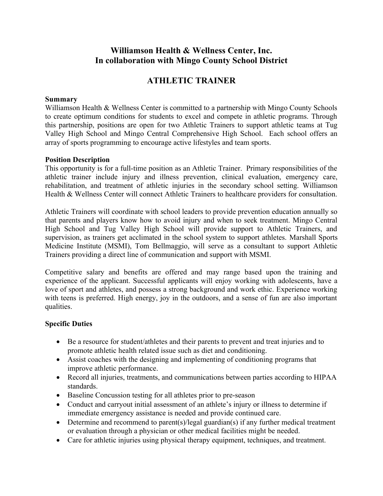## **Williamson Health & Wellness Center, Inc. In collaboration with Mingo County School District**

# **ATHLETIC TRAINER**

#### **Summary**

Williamson Health & Wellness Center is committed to a partnership with Mingo County Schools to create optimum conditions for students to excel and compete in athletic programs. Through this partnership, positions are open for two Athletic Trainers to support athletic teams at Tug Valley High School and Mingo Central Comprehensive High School. Each school offers an array of sports programming to encourage active lifestyles and team sports.

#### **Position Description**

This opportunity is for a full-time position as an Athletic Trainer. Primary responsibilities of the athletic trainer include injury and illness prevention, clinical evaluation, emergency care, rehabilitation, and treatment of athletic injuries in the secondary school setting. Williamson Health & Wellness Center will connect Athletic Trainers to healthcare providers for consultation.

Athletic Trainers will coordinate with school leaders to provide prevention education annually so that parents and players know how to avoid injury and when to seek treatment. Mingo Central High School and Tug Valley High School will provide support to Athletic Trainers, and supervision, as trainers get acclimated in the school system to support athletes. Marshall Sports Medicine Institute (MSMI), Tom Bellmaggio, will serve as a consultant to support Athletic Trainers providing a direct line of communication and support with MSMI.

Competitive salary and benefits are offered and may range based upon the training and experience of the applicant. Successful applicants will enjoy working with adolescents, have a love of sport and athletes, and possess a strong background and work ethic. Experience working with teens is preferred. High energy, joy in the outdoors, and a sense of fun are also important qualities.

### **Specific Duties**

- Be a resource for student/athletes and their parents to prevent and treat injuries and to promote athletic health related issue such as diet and conditioning.
- Assist coaches with the designing and implementing of conditioning programs that improve athletic performance.
- Record all injuries, treatments, and communications between parties according to HIPAA standards.
- Baseline Concussion testing for all athletes prior to pre-season
- Conduct and carryout initial assessment of an athlete's injury or illness to determine if immediate emergency assistance is needed and provide continued care.
- Determine and recommend to parent(s)/legal guardian(s) if any further medical treatment or evaluation through a physician or other medical facilities might be needed.
- Care for athletic injuries using physical therapy equipment, techniques, and treatment.